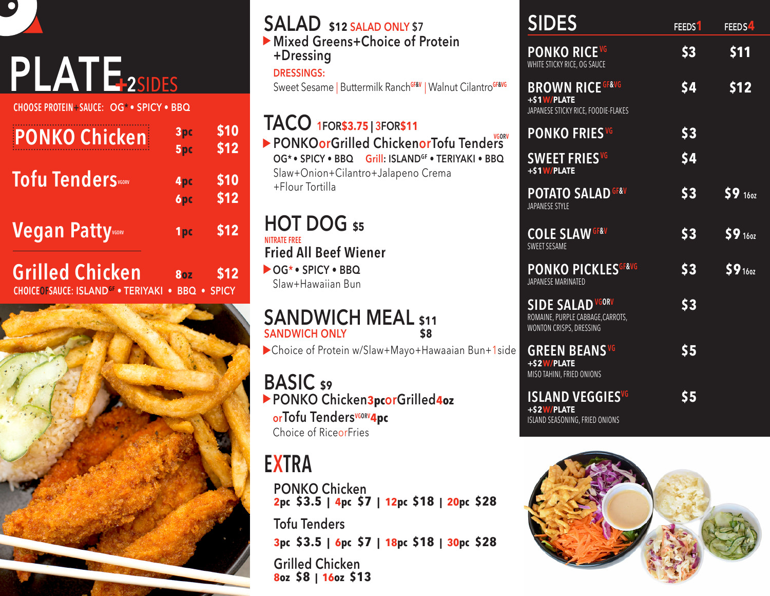

 $\bullet$ 

**CHOOSE PROTEIN+SAUCE: OG\* • SPICY • BBQ**

| <b>PONKO Chicken</b>                                                           | 3pc<br>5 <sub>pc</sub>   | \$10<br>\$12    |
|--------------------------------------------------------------------------------|--------------------------|-----------------|
| <b>Tofu TenderS</b> v60RV                                                      | 4 <sub>pc</sub><br>6pc   | \$10<br>\$12    |
| <b>Vegan Patty</b>                                                             | 1pc                      | \$12            |
| <b>Grilled Chicken</b><br><b>CHOICEOFSAUCE: ISLAND<sup>GF</sup> . TERIYAKI</b> | <b>80Z</b><br><b>BBQ</b> | \$12<br>• SPICY |



| <b>SALAD</b> \$12 SALAD ONLY \$7<br>Mixed Greens+Choice of Protein<br>+Dressing<br><b>DRESSINGS:</b><br>Sweet Sesame   Buttermilk RanchGF&V   Walnut CilantroGF&VG                            |
|-----------------------------------------------------------------------------------------------------------------------------------------------------------------------------------------------|
| TACO 1FOR\$3.75   3FOR\$11<br>PONKOorGrilled ChickenorTofu Tenders<br>OG* · SPICY · BBQ Grill: ISLAND <sup>GF</sup> · TERIYAKI · BBQ<br>Slaw+Onion+Cilantro+Jalapeno Crema<br>+Flour Tortilla |
| <b>HOT DOG \$5</b><br><b>NITRATE ERFF</b><br><b>Fried All Beef Wiener</b><br>$\bigtriangleright$ OG* • SPICY • BBO<br>Slaw+Hawaiian Bun                                                       |
| <b>SANDWICH MEAL \$11</b><br><b>SANDWICH ONLY</b><br>\$8<br>Choice of Protein w/Slaw+Mayo+Hawaaian Bun+1side                                                                                  |
| <b>BASIC</b> s9<br>PONKO Chicken3pcorGrilled4oz<br>orTofu Tenders <sup>vGORV</sup> 4pc<br>Choice of RiceorFries                                                                               |
| EXTRA<br><b>PONKO Chicken</b><br>2pc $$3.5$   4pc $$7$<br>  12pc \$18   20pc \$28                                                                                                             |

**Tofu Tenders 3pc \$3.5 | 6pc \$7 | 18pc \$18 | 30pc \$28**

**Grilled Chicken 8oz \$8 | 16oz \$13**

| <b>SIDES</b>                                                                            | FEEDS <sup>1</sup> | FEEDS4       |
|-----------------------------------------------------------------------------------------|--------------------|--------------|
| <b>PONKO RICEVG</b><br>WHITE STICKY RICE, OG SAUCE                                      | \$3                | \$11         |
| <b>BROWN RICE GF&amp;VG</b><br>+\$1W/PLATE<br>JAPANESE STICKY RICE, FOODIE-FLAKES       | \$4                | \$12         |
| <b>PONKO FRIES</b> VG                                                                   | \$3                |              |
| <b>SWEET FRIES</b> <sup>VG</sup><br>+\$1W/PLATE                                         | \$4                |              |
| <b>POTATO SALAD GF&amp;V</b><br>JAPANESE STYLE                                          | \$3                | 591602       |
| <b>COLE SLAW GF&amp;V</b><br><b>SWEET SESAME</b>                                        | \$3                | 591602       |
| <b>PONKO PICKLESGF&amp;VG</b><br>JAPANESE MARINATED                                     | \$3                | $$9_{160z}$$ |
| <b>SIDE SALAD VGORV</b><br>ROMAINE, PURPLE CABBAGE, CARROTS,<br>WONTON CRISPS, DRESSING | \$3                |              |
| <b>GREEN BEANS VG</b><br>+\$2W/PLATE<br>MISO TAHINI, FRIED ONIONS                       | \$5                |              |
| ISLAND VEGGIES <sup>vG</sup><br>+\$2W/PLATE                                             | \$5                |              |

ISLAND SEASONING, FRIED ONIONS